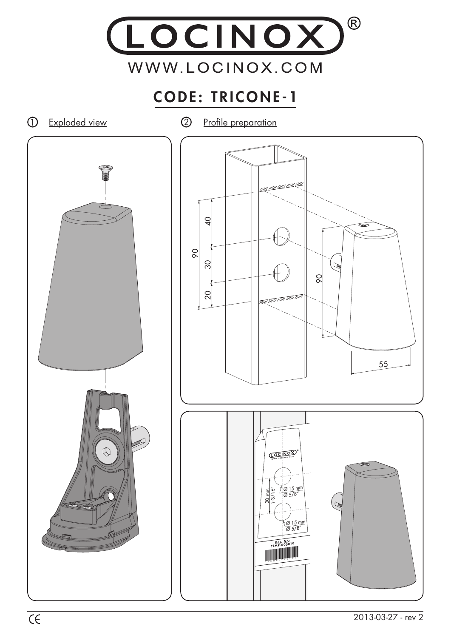

## CODE: TRICONE-1